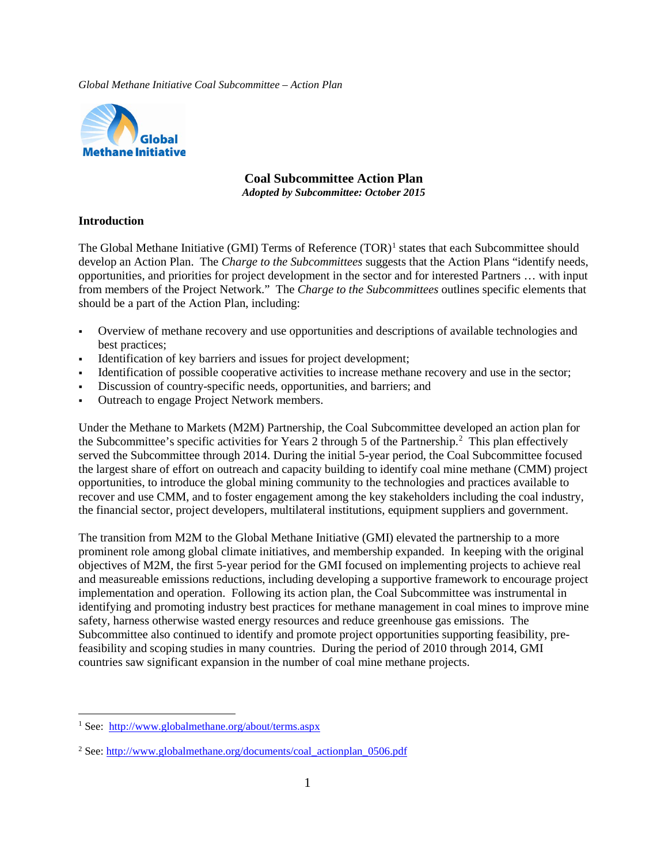

# **Coal Subcommittee Action Plan**

*Adopted by Subcommittee: October 2015*

#### **Introduction**

The Global Methane Initiative (GMI) Terms of Reference  $(TOR)^1$  $(TOR)^1$  states that each Subcommittee should develop an Action Plan. The *Charge to the Subcommittees* suggests that the Action Plans "identify needs, opportunities, and priorities for project development in the sector and for interested Partners … with input from members of the Project Network." The *Charge to the Subcommittees* outlines specific elements that should be a part of the Action Plan, including:

- Overview of methane recovery and use opportunities and descriptions of available technologies and best practices;
- Identification of key barriers and issues for project development;
- Identification of possible cooperative activities to increase methane recovery and use in the sector;
- Discussion of country-specific needs, opportunities, and barriers; and
- Outreach to engage Project Network members.

Under the Methane to Markets (M2M) Partnership, the Coal Subcommittee developed an action plan for the Subcommittee's specific activities for Years [2](#page-0-1) through 5 of the Partnership.<sup>2</sup> This plan effectively served the Subcommittee through 2014. During the initial 5-year period, the Coal Subcommittee focused the largest share of effort on outreach and capacity building to identify coal mine methane (CMM) project opportunities, to introduce the global mining community to the technologies and practices available to recover and use CMM, and to foster engagement among the key stakeholders including the coal industry, the financial sector, project developers, multilateral institutions, equipment suppliers and government.

The transition from M2M to the Global Methane Initiative (GMI) elevated the partnership to a more prominent role among global climate initiatives, and membership expanded. In keeping with the original objectives of M2M, the first 5-year period for the GMI focused on implementing projects to achieve real and measureable emissions reductions, including developing a supportive framework to encourage project implementation and operation. Following its action plan, the Coal Subcommittee was instrumental in identifying and promoting industry best practices for methane management in coal mines to improve mine safety, harness otherwise wasted energy resources and reduce greenhouse gas emissions. The Subcommittee also continued to identify and promote project opportunities supporting feasibility, prefeasibility and scoping studies in many countries. During the period of 2010 through 2014, GMI countries saw significant expansion in the number of coal mine methane projects.

<span id="page-0-0"></span> <sup>1</sup> See: <http://www.globalmethane.org/about/terms.aspx>

<span id="page-0-1"></span><sup>&</sup>lt;sup>2</sup> See: [http://www.globalmethane.org/documents/coal\\_actionplan\\_0506.pdf](http://www.globalmethane.org/documents/coal_actionplan_0506.pdf)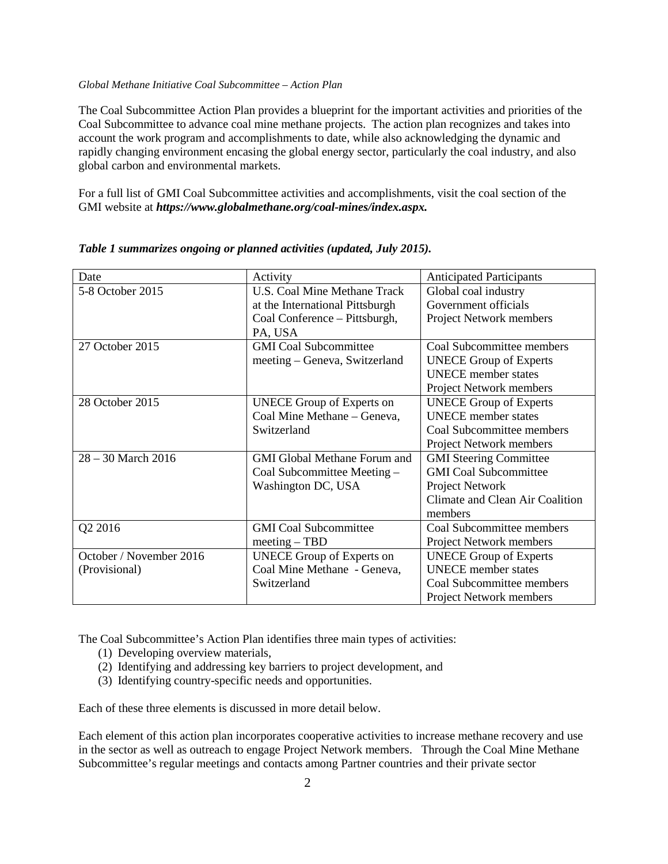The Coal Subcommittee Action Plan provides a blueprint for the important activities and priorities of the Coal Subcommittee to advance coal mine methane projects. The action plan recognizes and takes into account the work program and accomplishments to date, while also acknowledging the dynamic and rapidly changing environment encasing the global energy sector, particularly the coal industry, and also global carbon and environmental markets.

For a full list of GMI Coal Subcommittee activities and accomplishments, visit the coal section of the GMI website at *https://www.globalmethane.org/coal-mines/index.aspx.*

| Date                    | Activity                            | <b>Anticipated Participants</b> |
|-------------------------|-------------------------------------|---------------------------------|
| 5-8 October 2015        | <b>U.S. Coal Mine Methane Track</b> | Global coal industry            |
|                         |                                     |                                 |
|                         | at the International Pittsburgh     | Government officials            |
|                         | Coal Conference - Pittsburgh,       | Project Network members         |
|                         | PA, USA                             |                                 |
| 27 October 2015         | <b>GMI</b> Coal Subcommittee        | Coal Subcommittee members       |
|                         | meeting – Geneva, Switzerland       | <b>UNECE Group of Experts</b>   |
|                         |                                     | <b>UNECE</b> member states      |
|                         |                                     | <b>Project Network members</b>  |
| 28 October 2015         | <b>UNECE Group of Experts on</b>    | <b>UNECE Group of Experts</b>   |
|                         | Coal Mine Methane - Geneva,         | <b>UNECE</b> member states      |
|                         | Switzerland                         | Coal Subcommittee members       |
|                         |                                     | Project Network members         |
| $28 - 30$ March 2016    | <b>GMI Global Methane Forum and</b> | <b>GMI Steering Committee</b>   |
|                         | Coal Subcommittee Meeting -         | <b>GMI</b> Coal Subcommittee    |
|                         | Washington DC, USA                  | Project Network                 |
|                         |                                     | Climate and Clean Air Coalition |
|                         |                                     | members                         |
| Q2 2016                 | <b>GMI</b> Coal Subcommittee        | Coal Subcommittee members       |
|                         | $meeting - TBD$                     | Project Network members         |
| October / November 2016 | <b>UNECE Group of Experts on</b>    | <b>UNECE Group of Experts</b>   |
| (Provisional)           | Coal Mine Methane - Geneva,         | <b>UNECE</b> member states      |
|                         | Switzerland                         | Coal Subcommittee members       |
|                         |                                     | <b>Project Network members</b>  |

*Table 1 summarizes ongoing or planned activities (updated, July 2015).*

The Coal Subcommittee's Action Plan identifies three main types of activities:

- (1) Developing overview materials,
- (2) Identifying and addressing key barriers to project development, and
- (3) Identifying country-specific needs and opportunities.

Each of these three elements is discussed in more detail below.

Each element of this action plan incorporates cooperative activities to increase methane recovery and use in the sector as well as outreach to engage Project Network members. Through the Coal Mine Methane Subcommittee's regular meetings and contacts among Partner countries and their private sector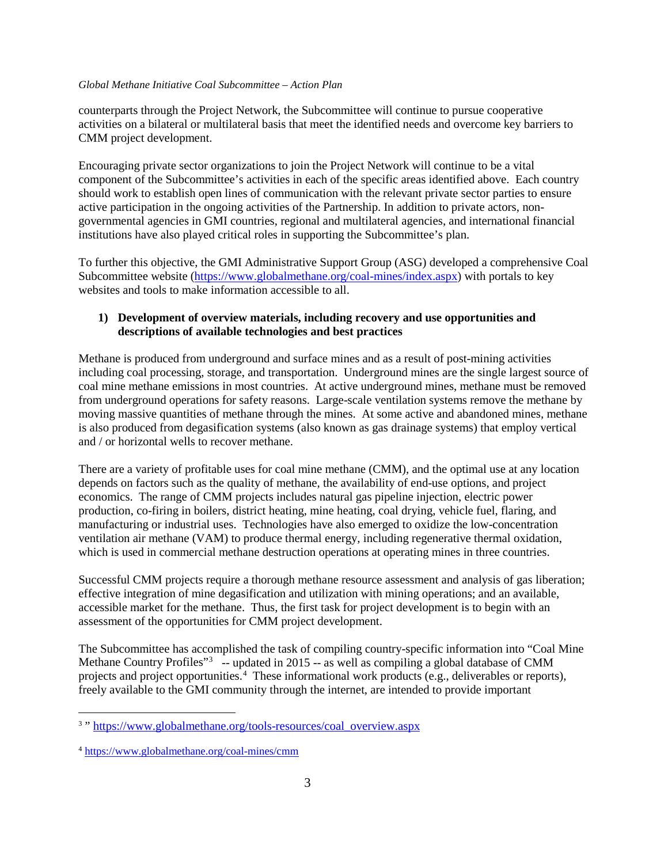counterparts through the Project Network, the Subcommittee will continue to pursue cooperative activities on a bilateral or multilateral basis that meet the identified needs and overcome key barriers to CMM project development.

Encouraging private sector organizations to join the Project Network will continue to be a vital component of the Subcommittee's activities in each of the specific areas identified above. Each country should work to establish open lines of communication with the relevant private sector parties to ensure active participation in the ongoing activities of the Partnership. In addition to private actors, nongovernmental agencies in GMI countries, regional and multilateral agencies, and international financial institutions have also played critical roles in supporting the Subcommittee's plan.

To further this objective, the GMI Administrative Support Group (ASG) developed a comprehensive Coal Subcommittee website [\(https://www.globalmethane.org/coal-mines/index.aspx\)](https://www.globalmethane.org/coal-mines/index.aspx) with portals to key websites and tools to make information accessible to all.

### **1) Development of overview materials, including recovery and use opportunities and descriptions of available technologies and best practices**

Methane is produced from underground and surface mines and as a result of post-mining activities including coal processing, storage, and transportation. Underground mines are the single largest source of coal mine methane emissions in most countries. At active underground mines, methane must be removed from underground operations for safety reasons. Large-scale ventilation systems remove the methane by moving massive quantities of methane through the mines. At some active and abandoned mines, methane is also produced from degasification systems (also known as gas drainage systems) that employ vertical and / or horizontal wells to recover methane.

There are a variety of profitable uses for coal mine methane (CMM), and the optimal use at any location depends on factors such as the quality of methane, the availability of end-use options, and project economics. The range of CMM projects includes natural gas pipeline injection, electric power production, co-firing in boilers, district heating, mine heating, coal drying, vehicle fuel, flaring, and manufacturing or industrial uses. Technologies have also emerged to oxidize the low-concentration ventilation air methane (VAM) to produce thermal energy, including regenerative thermal oxidation, which is used in commercial methane destruction operations at operating mines in three countries.

Successful CMM projects require a thorough methane resource assessment and analysis of gas liberation; effective integration of mine degasification and utilization with mining operations; and an available, accessible market for the methane. Thus, the first task for project development is to begin with an assessment of the opportunities for CMM project development.

The Subcommittee has accomplished the task of compiling country-specific information into "Coal Mine Methane Country Profiles"<sup>[3](#page-2-0)</sup> -- updated in 2015 -- as well as compiling a global database of CMM projects and project opportunities.<sup>[4](#page-2-1)</sup> These informational work products (e.g., deliverables or reports), freely available to the GMI community through the internet, are intended to provide important

<span id="page-2-0"></span><sup>&</sup>lt;sup>3</sup>" [https://www.globalmethane.org/tools-resources/coal\\_overview.aspx](https://www.globalmethane.org/tools-resources/coal_overview.aspx)

<span id="page-2-1"></span><sup>4</sup> <https://www.globalmethane.org/coal-mines/cmm>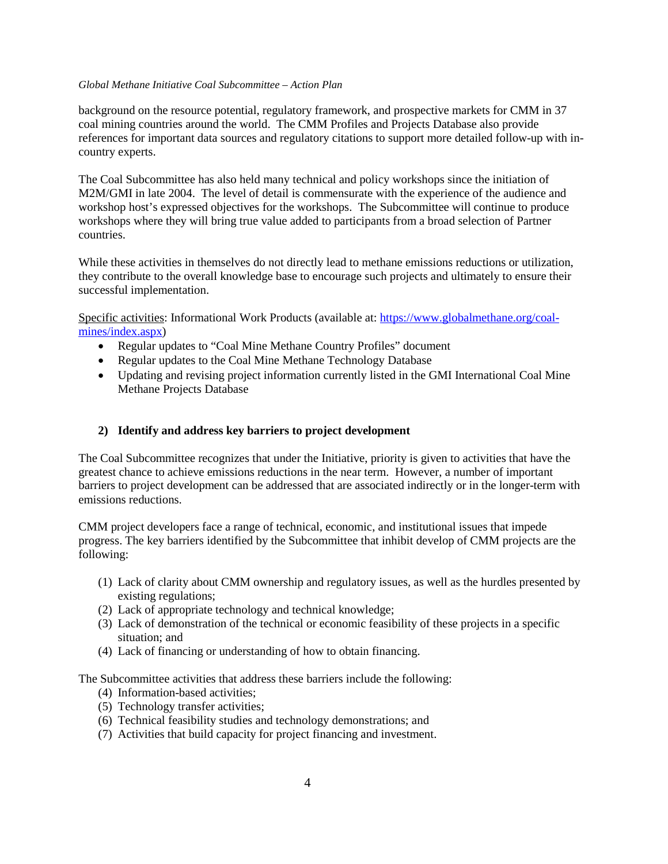background on the resource potential, regulatory framework, and prospective markets for CMM in 37 coal mining countries around the world. The CMM Profiles and Projects Database also provide references for important data sources and regulatory citations to support more detailed follow-up with incountry experts.

The Coal Subcommittee has also held many technical and policy workshops since the initiation of M2M/GMI in late 2004. The level of detail is commensurate with the experience of the audience and workshop host's expressed objectives for the workshops. The Subcommittee will continue to produce workshops where they will bring true value added to participants from a broad selection of Partner countries.

While these activities in themselves do not directly lead to methane emissions reductions or utilization, they contribute to the overall knowledge base to encourage such projects and ultimately to ensure their successful implementation.

Specific activities: Informational Work Products (available at: [https://www.globalmethane.org/coal](https://www.globalmethane.org/coal-mines/index.aspx)[mines/index.aspx\)](https://www.globalmethane.org/coal-mines/index.aspx)

- Regular updates to "Coal Mine Methane Country Profiles" document
- Regular updates to the Coal Mine Methane Technology Database
- Updating and revising project information currently listed in the GMI International Coal Mine Methane Projects Database

#### **2) Identify and address key barriers to project development**

The Coal Subcommittee recognizes that under the Initiative, priority is given to activities that have the greatest chance to achieve emissions reductions in the near term. However, a number of important barriers to project development can be addressed that are associated indirectly or in the longer-term with emissions reductions.

CMM project developers face a range of technical, economic, and institutional issues that impede progress. The key barriers identified by the Subcommittee that inhibit develop of CMM projects are the following:

- (1) Lack of clarity about CMM ownership and regulatory issues, as well as the hurdles presented by existing regulations;
- (2) Lack of appropriate technology and technical knowledge;
- (3) Lack of demonstration of the technical or economic feasibility of these projects in a specific situation; and
- (4) Lack of financing or understanding of how to obtain financing.

The Subcommittee activities that address these barriers include the following:

- (4) Information-based activities;
- (5) Technology transfer activities;
- (6) Technical feasibility studies and technology demonstrations; and
- (7) Activities that build capacity for project financing and investment.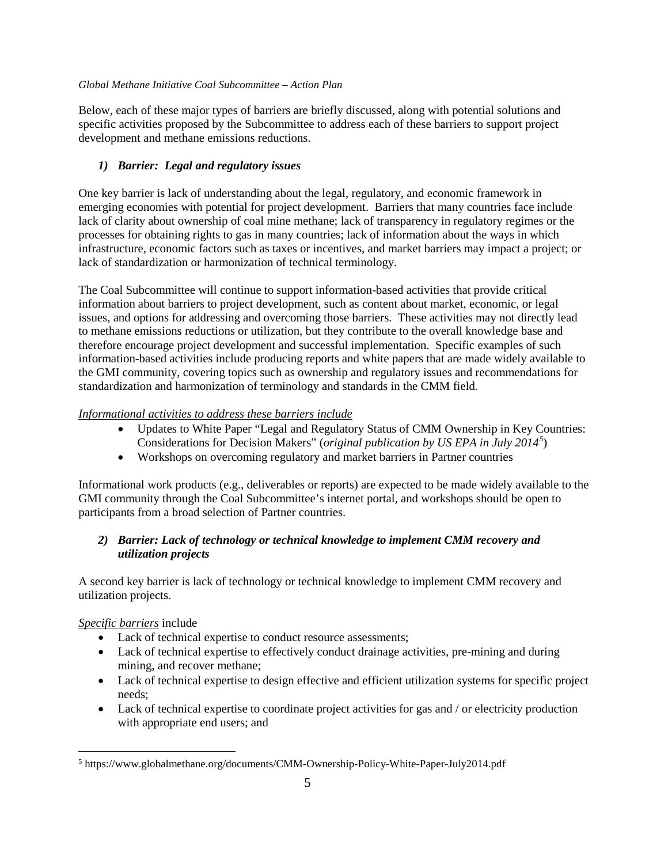Below, each of these major types of barriers are briefly discussed, along with potential solutions and specific activities proposed by the Subcommittee to address each of these barriers to support project development and methane emissions reductions.

# *1) Barrier: Legal and regulatory issues*

One key barrier is lack of understanding about the legal, regulatory, and economic framework in emerging economies with potential for project development. Barriers that many countries face include lack of clarity about ownership of coal mine methane; lack of transparency in regulatory regimes or the processes for obtaining rights to gas in many countries; lack of information about the ways in which infrastructure, economic factors such as taxes or incentives, and market barriers may impact a project; or lack of standardization or harmonization of technical terminology.

The Coal Subcommittee will continue to support information-based activities that provide critical information about barriers to project development, such as content about market, economic, or legal issues, and options for addressing and overcoming those barriers. These activities may not directly lead to methane emissions reductions or utilization, but they contribute to the overall knowledge base and therefore encourage project development and successful implementation. Specific examples of such information-based activities include producing reports and white papers that are made widely available to the GMI community, covering topics such as ownership and regulatory issues and recommendations for standardization and harmonization of terminology and standards in the CMM field.

# *Informational activities to address these barriers include*

- Updates to White Paper "Legal and Regulatory Status of CMM Ownership in Key Countries: Considerations for Decision Makers" (*original publication by US EPA in July 2014[5](#page-4-0)* )
- Workshops on overcoming regulatory and market barriers in Partner countries

Informational work products (e.g., deliverables or reports) are expected to be made widely available to the GMI community through the Coal Subcommittee's internet portal, and workshops should be open to participants from a broad selection of Partner countries.

# *2) Barrier: Lack of technology or technical knowledge to implement CMM recovery and utilization projects*

A second key barrier is lack of technology or technical knowledge to implement CMM recovery and utilization projects.

# *Specific barriers* include

- Lack of technical expertise to conduct resource assessments;
- Lack of technical expertise to effectively conduct drainage activities, pre-mining and during mining, and recover methane;
- Lack of technical expertise to design effective and efficient utilization systems for specific project needs;
- Lack of technical expertise to coordinate project activities for gas and / or electricity production with appropriate end users; and

<span id="page-4-0"></span> <sup>5</sup> https://www.globalmethane.org/documents/CMM-Ownership-Policy-White-Paper-July2014.pdf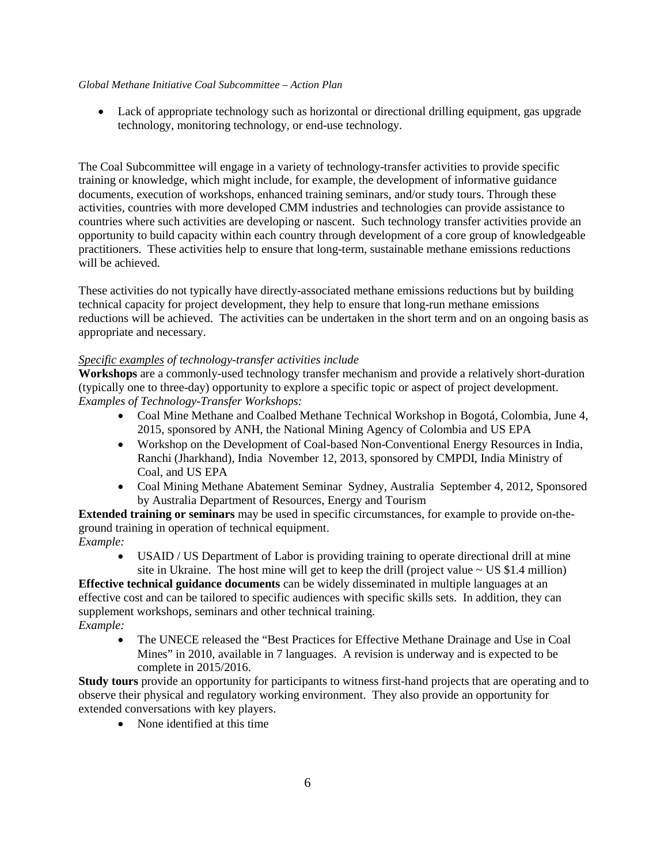• Lack of appropriate technology such as horizontal or directional drilling equipment, gas upgrade technology, monitoring technology, or end-use technology.

The Coal Subcommittee will engage in a variety of technology-transfer activities to provide specific training or knowledge, which might include, for example, the development of informative guidance documents, execution of workshops, enhanced training seminars, and/or study tours. Through these activities, countries with more developed CMM industries and technologies can provide assistance to countries where such activities are developing or nascent. Such technology transfer activities provide an opportunity to build capacity within each country through development of a core group of knowledgeable practitioners. These activities help to ensure that long-term, sustainable methane emissions reductions will be achieved.

These activities do not typically have directly-associated methane emissions reductions but by building technical capacity for project development, they help to ensure that long-run methane emissions reductions will be achieved. The activities can be undertaken in the short term and on an ongoing basis as appropriate and necessary.

#### *Specific examples of technology-transfer activities include*

**Workshops** are a commonly-used technology transfer mechanism and provide a relatively short-duration (typically one to three-day) opportunity to explore a specific topic or aspect of project development. *Examples of Technology-Transfer Workshops:*

- Coal Mine Methane and Coalbed Methane Technical Workshop in Bogotá, Colombia, June 4, 2015, sponsored by ANH, the National Mining Agency of Colombia and US EPA
- Workshop on the Development of Coal-based Non-Conventional Energy Resources in India, Ranchi (Jharkhand), India November 12, 2013, sponsored by CMPDI, India Ministry of Coal, and US EPA
- Coal Mining Methane Abatement Seminar Sydney, Australia September 4, 2012, Sponsored by Australia Department of Resources, Energy and Tourism

**Extended training or seminars** may be used in specific circumstances, for example to provide on-theground training in operation of technical equipment. *Example:*

• USAID / US Department of Labor is providing training to operate directional drill at mine site in Ukraine. The host mine will get to keep the drill (project value  $\sim$  US \$1.4 million)

**Effective technical guidance documents** can be widely disseminated in multiple languages at an effective cost and can be tailored to specific audiences with specific skills sets. In addition, they can supplement workshops, seminars and other technical training. *Example:*

• The UNECE released the "Best Practices for Effective Methane Drainage and Use in Coal Mines" in 2010, available in 7 languages. A revision is underway and is expected to be complete in 2015/2016.

**Study tours** provide an opportunity for participants to witness first-hand projects that are operating and to observe their physical and regulatory working environment. They also provide an opportunity for extended conversations with key players.

• None identified at this time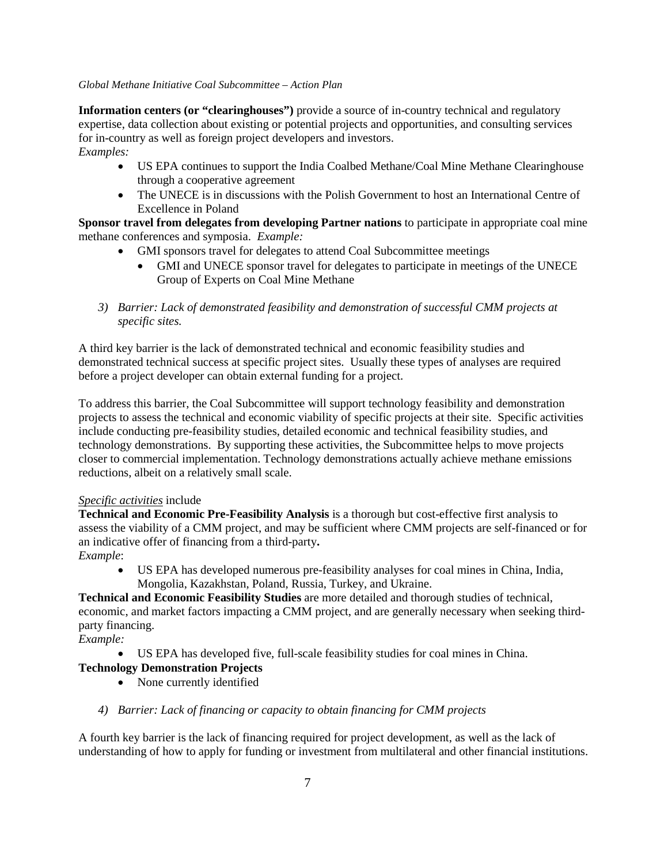**Information centers (or "clearinghouses")** provide a source of in-country technical and regulatory expertise, data collection about existing or potential projects and opportunities, and consulting services for in-country as well as foreign project developers and investors.

*Examples:* 

- US EPA continues to support the India Coalbed Methane/Coal Mine Methane Clearinghouse through a cooperative agreement
- The UNECE is in discussions with the Polish Government to host an International Centre of Excellence in Poland

**Sponsor travel from delegates from developing Partner nations** to participate in appropriate coal mine methane conferences and symposia. *Example:*

- GMI sponsors travel for delegates to attend Coal Subcommittee meetings
	- GMI and UNECE sponsor travel for delegates to participate in meetings of the UNECE Group of Experts on Coal Mine Methane
- *3) Barrier: Lack of demonstrated feasibility and demonstration of successful CMM projects at specific sites.*

A third key barrier is the lack of demonstrated technical and economic feasibility studies and demonstrated technical success at specific project sites. Usually these types of analyses are required before a project developer can obtain external funding for a project.

To address this barrier, the Coal Subcommittee will support technology feasibility and demonstration projects to assess the technical and economic viability of specific projects at their site. Specific activities include conducting pre-feasibility studies, detailed economic and technical feasibility studies, and technology demonstrations. By supporting these activities, the Subcommittee helps to move projects closer to commercial implementation. Technology demonstrations actually achieve methane emissions reductions, albeit on a relatively small scale.

### *Specific activities* include

**Technical and Economic Pre-Feasibility Analysis** is a thorough but cost-effective first analysis to assess the viability of a CMM project, and may be sufficient where CMM projects are self-financed or for an indicative offer of financing from a third-party**.** 

### *Example*:

• US EPA has developed numerous pre-feasibility analyses for coal mines in China, India, Mongolia, Kazakhstan, Poland, Russia, Turkey, and Ukraine.

**Technical and Economic Feasibility Studies** are more detailed and thorough studies of technical, economic, and market factors impacting a CMM project, and are generally necessary when seeking thirdparty financing.

*Example:*

• US EPA has developed five, full-scale feasibility studies for coal mines in China.

# **Technology Demonstration Projects**

- None currently identified
- *4) Barrier: Lack of financing or capacity to obtain financing for CMM projects*

A fourth key barrier is the lack of financing required for project development, as well as the lack of understanding of how to apply for funding or investment from multilateral and other financial institutions.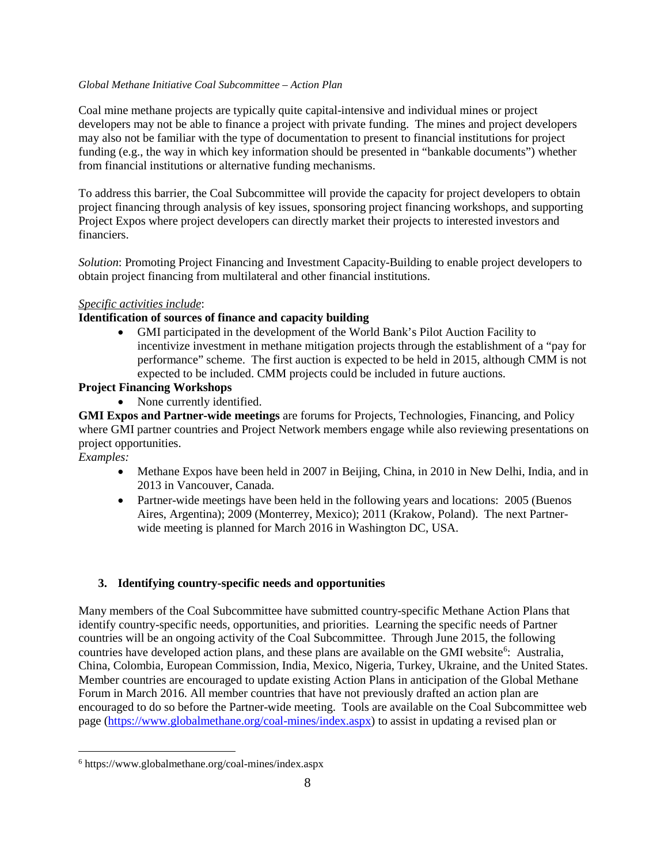Coal mine methane projects are typically quite capital-intensive and individual mines or project developers may not be able to finance a project with private funding. The mines and project developers may also not be familiar with the type of documentation to present to financial institutions for project funding (e.g., the way in which key information should be presented in "bankable documents") whether from financial institutions or alternative funding mechanisms.

To address this barrier, the Coal Subcommittee will provide the capacity for project developers to obtain project financing through analysis of key issues, sponsoring project financing workshops, and supporting Project Expos where project developers can directly market their projects to interested investors and financiers.

*Solution*: Promoting Project Financing and Investment Capacity-Building to enable project developers to obtain project financing from multilateral and other financial institutions.

### *Specific activities include*:

### **Identification of sources of finance and capacity building**

• GMI participated in the development of the World Bank's Pilot Auction Facility to incentivize investment in methane mitigation projects through the establishment of a "pay for performance" scheme. The first auction is expected to be held in 2015, although CMM is not expected to be included. CMM projects could be included in future auctions.

# **Project Financing Workshops**

• None currently identified.

**GMI Expos and Partner-wide meetings** are forums for Projects, Technologies, Financing, and Policy where GMI partner countries and Project Network members engage while also reviewing presentations on project opportunities.

*Examples:*

- Methane Expos have been held in 2007 in Beijing, China, in 2010 in New Delhi, India, and in 2013 in Vancouver, Canada.
- Partner-wide meetings have been held in the following years and locations: 2005 (Buenos Aires, Argentina); 2009 (Monterrey, Mexico); 2011 (Krakow, Poland). The next Partnerwide meeting is planned for March 2016 in Washington DC, USA.

# **3. Identifying country-specific needs and opportunities**

Many members of the Coal Subcommittee have submitted country-specific Methane Action Plans that identify country-specific needs, opportunities, and priorities. Learning the specific needs of Partner countries will be an ongoing activity of the Coal Subcommittee. Through June 2015, the following countries have developed action plans, and these plans are available on the GMI website<sup>[6](#page-7-0)</sup>: Australia, China, Colombia, European Commission, India, Mexico, Nigeria, Turkey, Ukraine, and the United States. Member countries are encouraged to update existing Action Plans in anticipation of the Global Methane Forum in March 2016. All member countries that have not previously drafted an action plan are encouraged to do so before the Partner-wide meeting. Tools are available on the Coal Subcommittee web page [\(https://www.globalmethane.org/coal-mines/index.aspx\)](https://www.globalmethane.org/coal-mines/index.aspx) to assist in updating a revised plan or

<span id="page-7-0"></span> <sup>6</sup> https://www.globalmethane.org/coal-mines/index.aspx